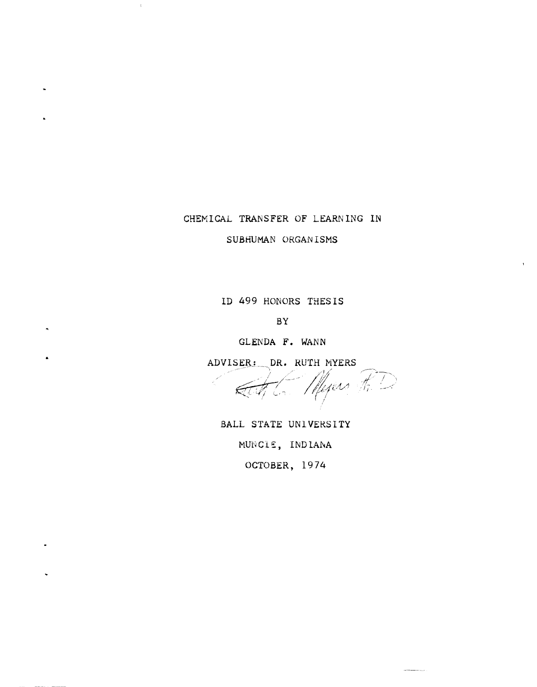## CHEMICAL TRANSFER OF LEARNING IN

SUBHUMAN ORGANISMS

ID 499 HONORS THESIS

BY

GLENDA F. WANN

ADVISER: DR. RUTH MYERS

•

 $\bullet$ 

 $\ddot{\phantom{0}}$ 

 $\bullet$ 

 $\bullet$ 

 $\,$   $\,$ 

Myers R.D. ath Com

BALL STATE UNIVERSITY MUNCIE, INDIANA OCTOBER, 1974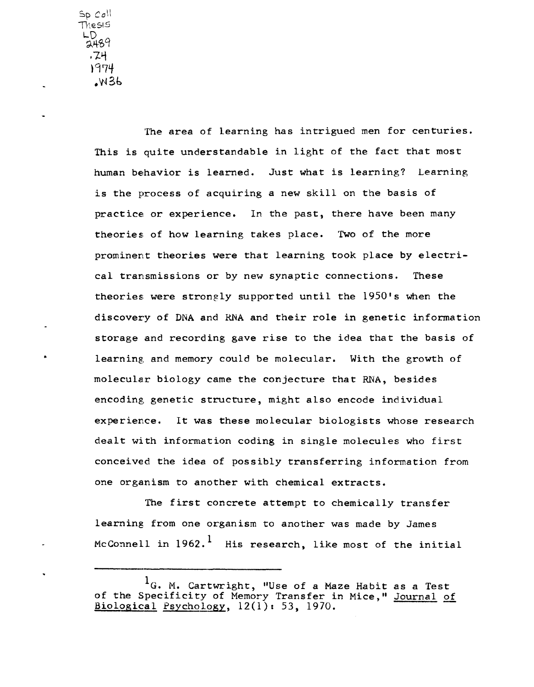$Sp$  Coll 'TheSIS LD 2489 . 74 \97tf .w3t,

> The area of learning has intrigued men for centuries. This is quite understandable in light of the fact that most human behavior is learned. Just what is learning? Learning is the process of acquiring a new skill on the basis of practice or experience. In the past, there have been many theories of how learning takes place. 'fwo of the more prominent theories were that learning took place by electrical transmissions or by new synaptic connections. These theories were strongly supported until the 1950's when the discovery of DNA and RNA and their role in genetic information storage and recording gave rise to the idea that the basis of learning, and memory could be molecular. With the growth of molecular biology came the conjecture that RNA, besides encoding genetic structure, might also encode individual experience. It was these molecular biologists whose research dealt with information coding in single molecules who first conceived the idea of possibly transferring information from one organism to another with chemical extracts.

The first concrete attempt to chemically transfer learning from one organism to another was made by James McConnell in  $1962.$ <sup>1</sup> His research, like most of the initial

 $\mathbf{1}_6$ . M. Cartwright, "Use of a Maze Habit as a Test of the Specificity of Memory Transfer in Mice," Journal of Biological Psychology,  $12(1): 53$ , 1970.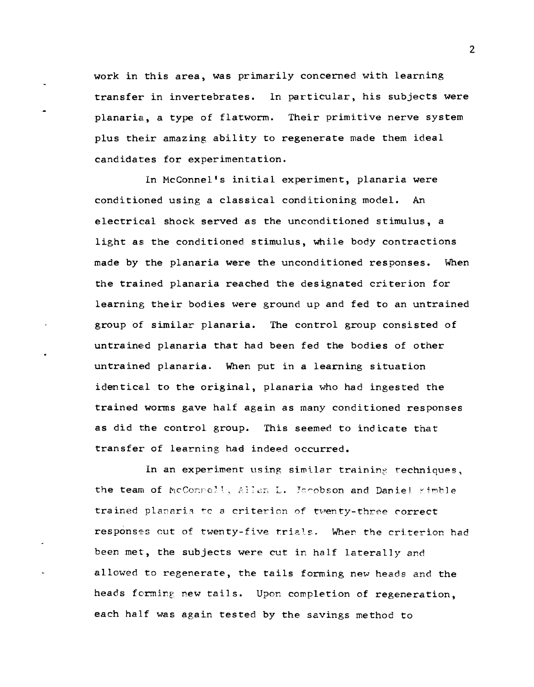work in this area, was primarily concerned with learning transfer in invertebrates. In particular, his subjects were planaria, a type of flatworm. Their primitive nerve system plus their amazing ability to regenerate made them ideal candidates for experimentation.

In McConnel's initial experiment, planaria were conditioned using a classical conditioning model. An electrical shock served as the unconditioned stimulus, a light as the conditioned stimulus, while body contractions made by the planaria were the unconditioned responses. When the trained planaria reached the designated criterion for learning their bodies were ground up and fed to an untrained group of similar planaria. The control group consisted of untrained planaria that had been fed the bodies of other untrained planaria. When put in a learning situation identical to the original, planaria who had ingested the trained worms gave half again as many conditioned responses as did the control group. This seemed to indicate that transfer of learning had indeed occurred.

In an experiment using similar training techniques. the team of McConnell, Allan L. Jacobson and Daniel Kimble trained planaria to a criterion of twenty-three correct responses out of twenty-five trials. When the criterion had been met, the subjects were cut in half laterally and allowed to regenerate, the tails forming new heads and the heads forming new tails. Upon completion of regeneration, each half was again tested by the savings method to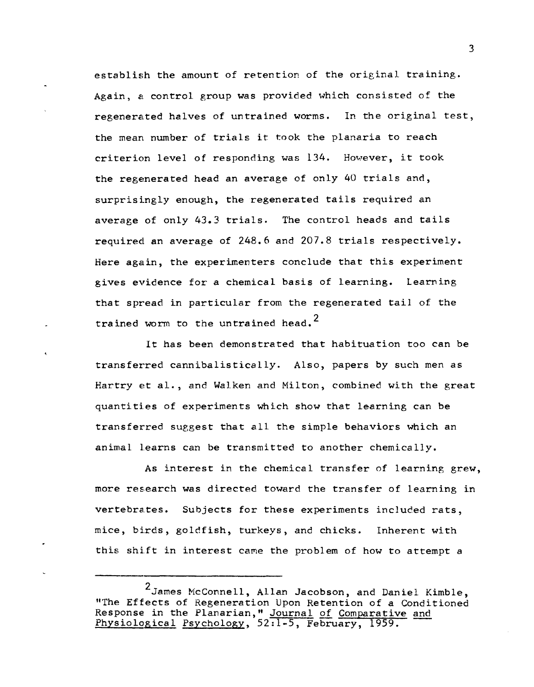establish the amount of retention of the original training. Again, a control group was provided which consisted of the regenerated halves of untrained worms. In the original test, the mean number of trials it took the planaria to reach criterion level of responding was 134. However, it took the regenerated head an average of only 40 trials and, surprisingly enough, the regenerated tails required an average of only 43.3 trials. The control heads and tails required an average of 248.6 and 207.8 trials respectively. Here again, the experimenters conclude that this experiment gives evidence for a chemical basis of learning. Learning that spread in particular from the regenerated tail of the trained worm to the untrained head.<sup>2</sup>

It has been demonstrated that habituation too can be transferred cannibalistically. Also, papers by such men as Hartry et al., and Walken and Milton, combined with the great quantities of experiments which show that learning can be transferred suggest that all the simple behaviors which an animal learns can be transmitted to another chemically.

As interest in the chemical transfer of learning grew, more research was directed toward the transfer of learning in vertebrates. Subjects for these experiments included rats, mice, birds, goldfish, turkeys, and chicks. Inherent with this shift in interest came the problem of how to attempt a

<sup>2</sup>James NcConnell, Allan Jacobson, and Daniel Kimble, "The Effects of Regeneration Upon Retention of a Conditioned Response in the Planarian," Journal of Comparative and Physiological Psychology, 52:1-5, February, 1959.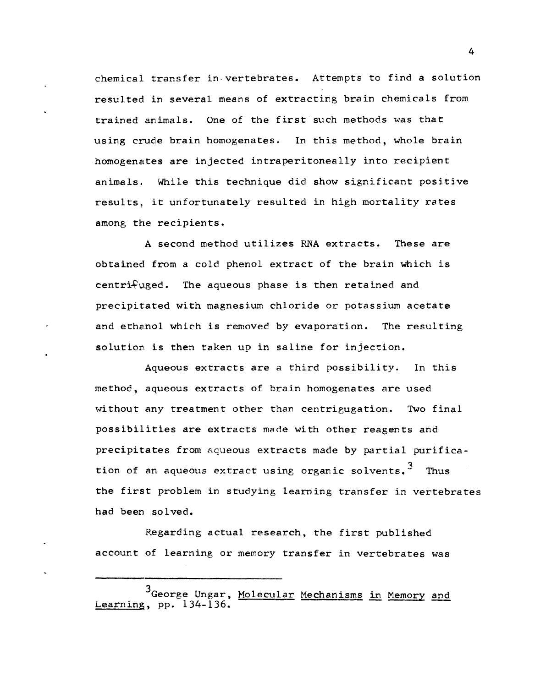chemical transfer in-vertebrates. Attempts to find a solution resulted in several means of extracting brain chemicals from trained animals. One of the first such methods was that using crude brain homogenates. In this method, whole brain homogenates are injected intraperitoneally into recipient animals. While this technique did show significant positive results, it unfortunately resulted in high mortality rates among the recipients.

A second method utilizes RNA extracts. These are obtained from a cold phenol extract of the brain which is centri $f$ uged. The aqueous phase is then retained and precipitated with magnesium chloride or potassium acetate and ethanol which is removed by evaporation. The resulting solution is then taken up in saline for injection.

Aqueous extracts are a third possibility. In this method, aqueous extracts of brain homogenates are used without any treatment other than centrigugation. Two final possibilities are extracts made with other reagents and precipitates from aqueous extracts made by partial purification of an aqueous extract using organic solvents.<sup>3</sup> Thus the first problem in studying learning transfer in vertebrates had been solved.

Regarding actual research, the first published account of learning or memory transfer in vertebrates was

<sup>3</sup>George Ungar, Molecular Mechanisms in Memory and Learning, pp. 134-136.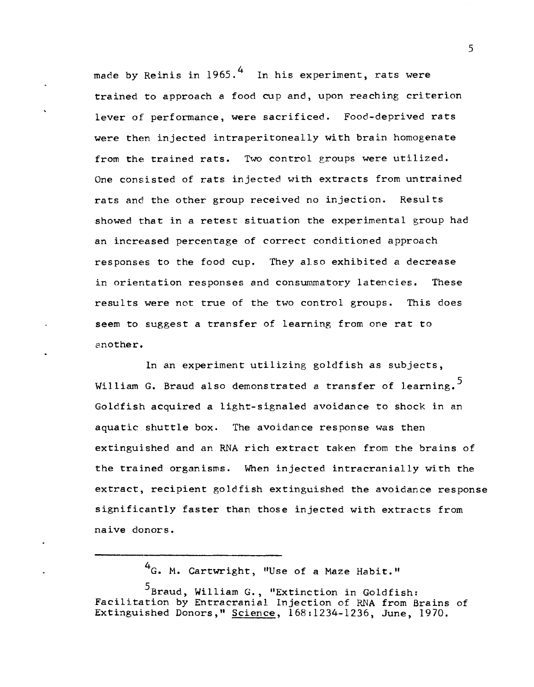made by Reinis in  $1965.^4$  In his experiment, rats were trained to approach a food cup and, upon reaching criterion lever of performance, were sacrificed. Food-deprived rats were then injected intraperitoneally with brain homogenate from the trained rats. Two control groups were utilized. One consisted of rats injected with extracts from untrained rats and the other group received no injection. Results showed that in a retest situation the experimental group had an increased percentage of correct conditioned approach responses to the food cup. They also exhibited a decrease in orientation responses and consummatory latencies. These results were not true of the two control groups. This does seem to suggest a transfer of learning from one rat to another.

In an experiment utilizing goldfish as subjects, William G. Braud also demonstrated a transfer of learning.<sup>5</sup> Goldfish acquired a light-signaled avoidance to shock in an aquatic shuttle box. The avoidance response was then extinguished and an RNA rich extract taken from the brains of the trained organisms. When injected intracranially with the extract, recipient goldfish extinguished the avoidance response significantly faster than those injected with extracts from naive donors.

4<sub>G</sub>. M. Cartwright, "Use of a Maze Habit."

<sup>5</sup>Braud, William G., "Extinction in Goldfish: Facilitation by Entracranial Injection of RNA from Brains of Extinguished Donors," Science, 168:1234-1236, June, 1970.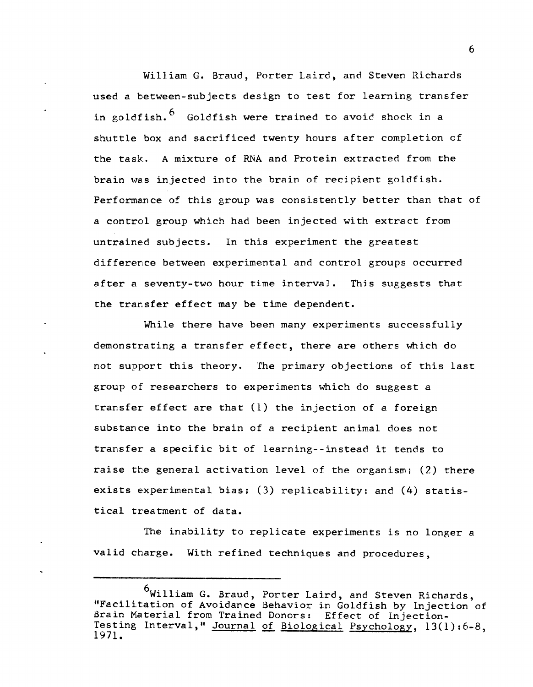William G. Braud, Porter Laird, and Steven Richards used a between-subjects design to test for learning transfer in goldfish.<sup>6</sup> Goldfish were trained to avoid shock in a shuttle box and sacrificed twenty hours after completion of the task. A mixture of RNA and Protein extracted from the brain was injected into the brain of recipient goldfish. Performance of this group was consistently better than that of a control group which had been injected with extract from untrained subjects. In this experiment the greatest difference between experimental and control groups occurred after a seventy-two hour time interval. This suggests that the transfer effect may be time dependent.

While there have been many experiments successfully demonstrating a transfer effect, there are others which do not support this theory. The primary objections of this last group of researchers to experiments which do suggest a transfer effect are that (1) the injection of a foreign substance into the brain of a recipient animal does not transfer a specific bit of learning--instead it tends to raise the general activation level of the organism; (2) there exists experimental bias; (3) replicability; and (4) statistical treatment of data.

The inability to replicate experiments is no longer a valid charge. With refined techniques and procedures,

<sup>6</sup>William G. Braud, Porter Laird, and Steven Richards, "Facilitation of Avoidance Behavior in Goldfish by Injection of Brain Material from Trained Donors: Effect of Injection-Testing Interval," <u>Journal of Biological Psychology</u>, 13(1):6-8, 1971.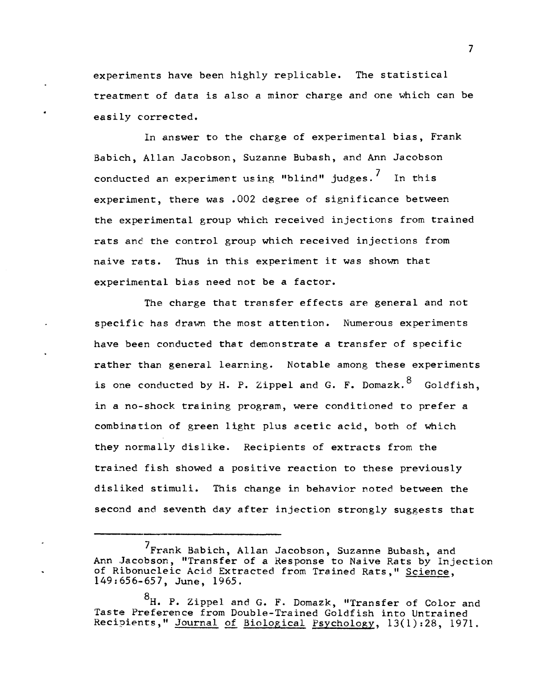experiments have been highly replicable. The statistical treatment of data is also a minor charge and one which can be easily corrected.

In answer to the charge of experimental bias, Frank Babich, Allan Jacobson, Suzanne Bubash, and Ann Jacobson conducted an experiment using "blind" judges.<sup>7</sup> In this experiment, there was .002 degree of significance between the experimental group which received injections from trained rats and the control group which received injections from naive rats. Thus in this experiment it was shown that experimental bias need not be a factor.

The charge that transfer effects are general and not specific has drawn the most attention. Numerous experiments have been conducted that demonstrate a transfer of specific rather than general learning. Notable among these experiments is one conducted by H. P. Zippel and G. F. Domazk.  $8$  Goldfish, in a no-shock training program, were conditioned to prefer a combination of green light plus acetic acid, both of which they normally dislike. Recipients of extracts from the trained fish showed a positive reaction to these previously disliked stimuli. This change in behavior noted between the second and seventh day after injection strongly suggests that

<sup>&</sup>lt;sup>7</sup>Frank Babich, Allan Jacobson, Suzanne Bubash, and Ann Jacobson, "Transfer of a Response to Naive Rats by Injection of Ribonucleic Acid Extracted from Trained Rats," Science, 149:656-657, June, 1965.

<sup>&</sup>lt;sup>8</sup>H. P. Zippel and G. F. Domazk, "Transfer of Color and Taste Preference from Double-Trained Goldfish into Untrained Recipients," Journal of Biological Psychology, 13(1):28, 1971.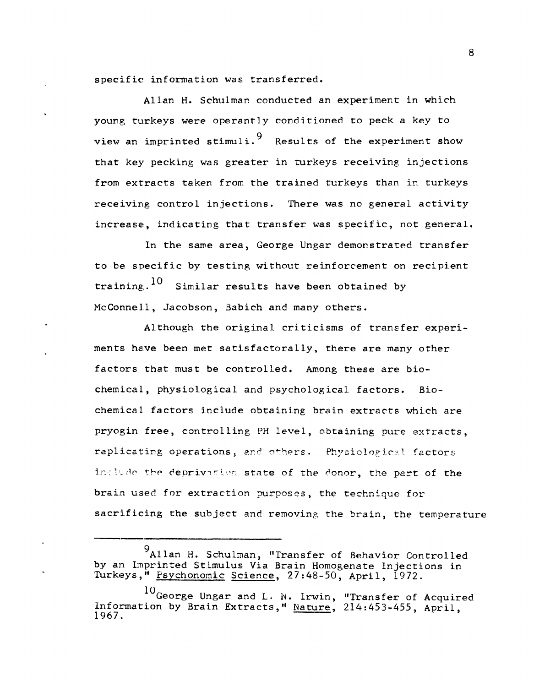specific information was transferred.

Allan H. Schulman conducted an experiment in which young turkeys were operantly conditioned to peck a key to view an imprinted stimuli.<sup>9</sup> Results of the experiment show that key pecking was greater in turkeys receiving injections from extracts taken from the trained turkeys than in turkeys receiving control injections. There was no general activity increase, indicating that transfer was specific, not general.

In the same area, George Ungar demonstrated transfer to be specific by testing without reinforcement on recipient training.<sup>10</sup> Similar results have been obtained by McConnell, Jacobson, Babich and many others.

Although the original criticisms of transfer experiments have been met satisfactorally, there are many other factors that must be controlled. Among these are biochemical, physiological and psychological factors. Biochemical factors include obtaining brain extracts which are pryogin free, controlling PH level, obtaining pure extracts, replicating operations, and others. Physiological factors include the deprivation state of the donor, the part of the brain used for extraction purposes, the technique for sacrificing the subject and removing the brain, the temperature

<sup>9&</sup>lt;br>Allan H. Schulman, "Transfer of Behavior Controlled by an Imprinted Stimulus Via Brain Homogenate Injections in Turkeys," Psychonomic Science, 27:48-50, April, 1972.

<sup>10&</sup>lt;sub>George</sub> Ungar and L. N. Irwin, "Transfer of Acquired Information by Brain Extracts," Nature, 214:453-455, April, 1967.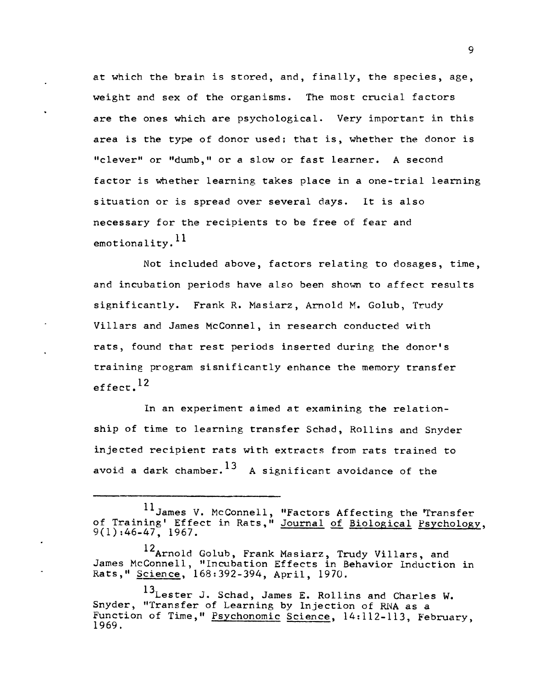at which the brain is stored, and, finally, the species, age, weight and sex of the organisms. The most crucial factors are the ones which are psychological. Very important in this area is the type of donor used; that is, whether the donor is "clever" or "dumb," or a slow or fast learner. A second factor is whether learning takes place in a one-trial learning situation or is spread over several days. It is also necessary for the recipients to be free of fear and emotionality.  $^{11}$ 

Not included above, factors relating to dosages, time, and incubation periods have also been shown to affect results significantly. Frank R. Masiarz, Arnold M. Golub, Trudy Villars and James McConnel, in research conducted with rats, found that rest periods inserted during the donor's training program sisnificantly enhance the memory transfer effect. $^{12}$ 

In an experiment aimed at examining the relationship of time to learning transfer Schad, Rollins and Snyder injected recipient rats with extracts from rats trained to avoid a dark chamber.<sup>13</sup> A significant avoidance of the

<sup>&</sup>lt;sup>11</sup>James V. McConnell, "Factors Affecting the Transfer of Training' Effect in Rats," Journal of Biological Psychology, 9(1):46-47, 1967.

<sup>12</sup>Arnold Golub, Frank Masiarz, Trudy Villars, and James McConnell, "Incubation Effects in Behavior Induction in Rats," Science, 168:392-394, April, 1970.

<sup>13</sup>Lester J. Schad, James E. Rollins and Charles W. Snyder, "Transfer of Learning by Injection of RNA as a Function of Time," Psychonomic Science, 14:112-113, February,  $1969.$   $\overline{\hspace{1cm}}$   $\overline{\hspace{1cm}}$   $\overline{\hspace{1cm}}$   $\overline{\hspace{1cm}}$   $\overline{\hspace{1cm}}$   $\overline{\hspace{1cm}}$   $\overline{\hspace{1cm}}$   $\overline{\hspace{1cm}}$   $\overline{\hspace{1cm}}$   $\overline{\hspace{1cm}}$   $\overline{\hspace{1cm}}$   $\overline{\hspace{1cm}}$   $\overline{\hspace{1cm}}$   $\overline{\hspace{1cm}}$   $\overline{\hspace{1cm}}$   $\overline{\hspace{1cm}}$   $\overline{\$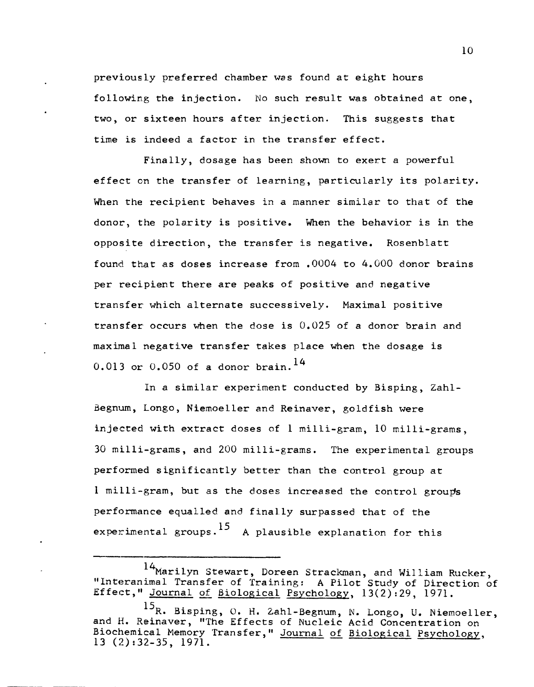previously preferred chamber was found at eight hours following the injection. No such result was obtained at one, two, or sixteen hours after injection. This suggests that time is indeed a factor in the transfer effect.

Finally, dosage has been shown to exert a powerful effect on the transfer of learning, particularly its polarity. When the recipient behaves in a manner similar to that of the donor, the polarity is positive. When the behavior is in the opposite direction, the transfer is negative. Rosenblatt found that as doses increase from .0004 to 4.000 donor brains per recipient there are peaks of positive and negative transfer which alternate successively. Maximal positive transfer occurs when the dose is 0.025 of a donor brain and maximal negative transfer takes place when the dosage is  $0.013$  or  $0.050$  of a donor brain.<sup>14</sup>

In a similar experiment conducted by Bisping, Zahl-Begnum, Longo, Niemoeller and Reinaver, goldfish were injected with extract doses of 1 milli-gram, 10 milli-grams, 30 milli-grams, and 200 milli-grams. The experimental groups performed significantly better than the control group at 1 milli-gram, but as the doses increased the control groups performance equalled and finally surpassed that of the experimental groups.<sup>15</sup> A plausible explanation for this

<sup>14&</sup>lt;sub>Marilyn</sub> Stewart, Doreen Strackman, and William Rucker, "Interanimal Transfer of Training: A Pilot Study of Direction of Effect," Journal of Biological Psychology, 13(2):29, 1971.

 $^{15}$ R. Bisping, O. H. Zahl-Begnum, N. Longo, U. Niemoeller, and H. Reinaver, "The Effects of Nucleic Acid Concentration on Biochemical Memory Transfer," Journal of Biological Psychology,  $13(2):32-35,1971.$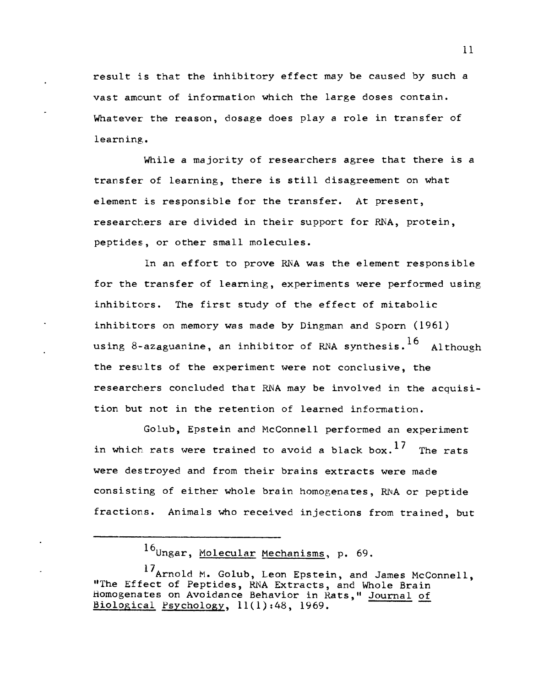result is that the inhibitory effect may be caused by such a vast amount of information which the large doses contain. Whatever the reason, dosage does play a role in transfer of learning.

While a majority of researchers agree that there is a transfer of learning, there is still disagreement on what element is responsible for the transfer. At present, researchers are divided in their support for RNA, protein, peptides., or other small molecules.

In an effort to prove RNA was the element responsible for the transfer of learning, experiments were performed using inhibitors. The first study of the effect of mitabolic inhibitors on memory was made by Dingman and Sporn (1961) using 8-azaguanine, an inhibitor of RNA synthesis. <sup>16</sup> Although the results of the experiment were not conclusive, the researchers concluded that RNA may be involved in the acquisition but not in the retention of learned information.

Golub, Epstein and McConnell performed an experiment in which rats were trained to avoid a black box.<sup>1/</sup> The rats were destroyed and from their brains extracts were made consisting of either whole brain homogenates, MA or peptide fractions. Animals who received injections from trained, but

16<sub>Ungar, Molecular Mechanisms, p. 69.</sub>

17<sub>Arnold</sub> M. Golub, Leon Epstein, and James McConnell, "The Effect of Peptides, RNA Extracts, and Whole Brain Homogenates on Avoidance Behavior in Rats," Journal of Biological Psychology, 11(1):48, 1969.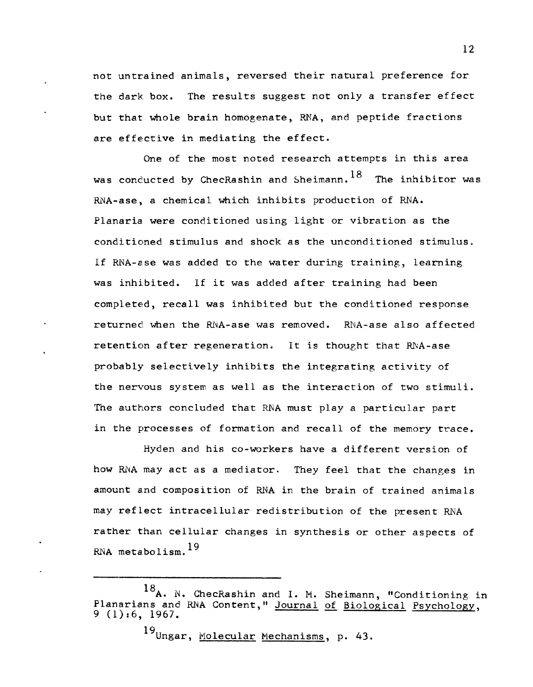not untrained animals, reversed their natural preference for the dark box. The results suggest not only a transfer effect but that whole brain homogenate, RNA, and peptide fractions are effective in mediating the effect.

One of the most noted research attempts in this area was conducted by ChecRashin and Sheimann.  $^{18}$  The inhibitor was RNA-ase, a chemical which inhibits production of RNA. Planaria were conditioned using light or vibration as the conditioned stimulus and shock as the unconditioned stimulus. if RNA-ase was added to the water during training, learning was inhibited. If it was added after training had been completed, recall was inhibited but the conditioned response returned when the RNA-ase was removed. RNA-ase also affected retention after regeneration. It is thought that RNA-ase probably selectively inhibits the integrating activity of the nervous system as well as the interaction of two stimuli. The authors concluded that RNA must playa particular part in the processes of formation and recall of the memory trace.

Hyden and his co-workers have a different version of how RNA may act as a mediator. They feel that the changes in amount and composition of RNA in the brain of trained animals may reflect intracellular redistribution of the present RNA rather than cellular changes in synthesis or other aspects of RNA metabolism.  $^{19}$ 

19<sub>Ungar, Molecular Mechanisms, p. 43.</sub>

<sup>&</sup>lt;sup>10</sup>A. N. ChecRashin and I. M. Sheimann, "Conditioning in Planarians and RNA Content," Journal of Biological Psychology,  $9(1):6,1967.$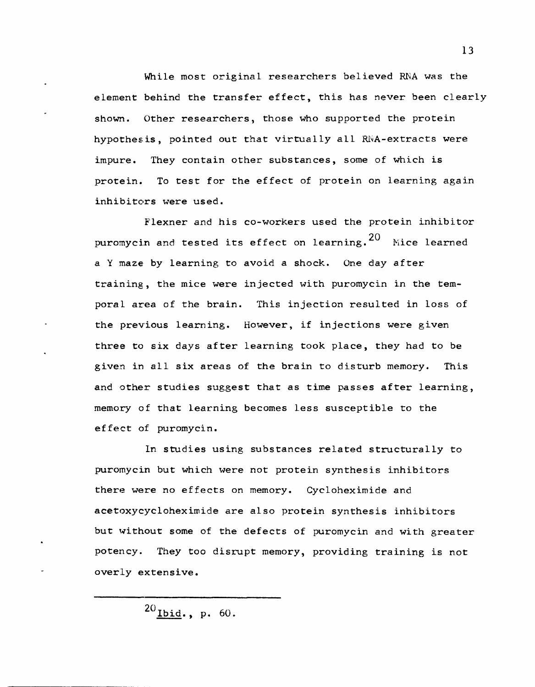While most original researchers believed RNA was the element behind the transfer effect, this has never been clearly shown. Other researchers, those who supported the protein hypothesis, pointed out that virtually all RNA-extracts were impure. They contain other substances, some of which is protein. To test for the effect of protein on learning again inhibitors were used.

Flexner and his co-workers used the protein inhibitor puromycin and tested its effect on learning.  $20$  Mice learned a Y maze by learning to avoid a shock. One day after training, the mice were injected with puromycin in the temporal area of the brain. This injection resulted in loss of the previous learning. However, if injections were given three to six days after learning took place, they had to be given in all six areas of the brain to disturb memory. This and other studies suggest that as time passes after learning, memory of that learning becomes less susceptible to the effect of puromycin.

In studies using substances related structurally to puromycin but which were not protein synthesis inhibitors there were no effects on memory. Cycloheximide and acetoxycycloheximide are also protein synthesis inhibitors but without some of the defects of puromycin and with greater potency. They too disrupt memory, providing training is not overly extensive.

 $^{20}$  Ibid., p. 60.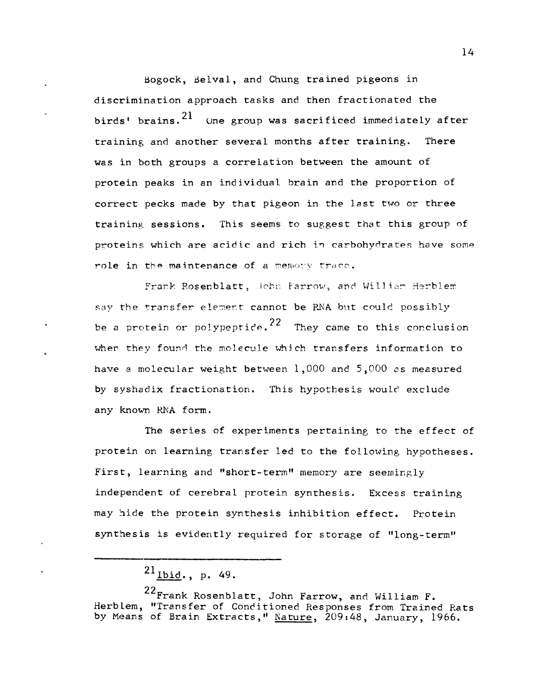Bogock, delval, and Chung trained pigeons in discrimination approach tasks and then fractionated the birds' brains.  $2^1$  One group was sacrificed immediately after training and another several months after training. There was in both groups a correlation between the amount of protein peaks in an individual brain and the proportion of correct pecks made by that pigeon in the last two or three training sessions. This seems to suggest that this group of proteins which are acidic and rich in carbohydrates have some role in the maintenance of a memory trace.

Frank Rosenblatt, John Farrow, and William Herblem say the transfer element cannot be RNA but could possibly be a protein or polypeptice.<sup>22</sup> They came to this conclusion when they found the molecule which transfers information to have a molecular weight between 1,000 and 5,000 es measured by syshadix fractionation. This hypothesis would exclude any known RNA form.

The series of experiments pertaining to the effect of protein on learning transfer led to the following hypotheses. First, learning and "short-term" memory are seemingly independent of cerebral protein synthesis. Excess training may hide the protein synthesis inhibition effect. Protein synthesis is evidently required for storage of "long-term"

22Frank Rosenblatt, John Farrow, and William **F.**  Herblem, "Transfer of Conditioned Responses from Trained Rats by Means of Brain Extracts," Nature, 209:48, January, 1966.

 $^{21}$  Ibid., p. 49.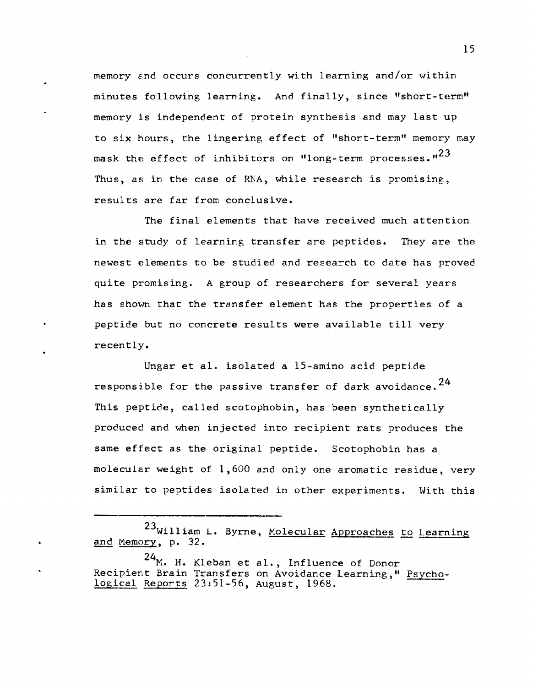memory end occurs concurrently with learning and/or within minutes following learning. And finally, since "short-term" memory is independent of protein synthesis and may last up to six hours, the lingering effect of "short-term" memory may mask the effect of inhibitors on "long-term processes." $^{23}$ Thus, as in the case of RNA, while research is promising, results are far from conclusive.

The final elements that have received much attention in the study of learning transfer are peptides. They are the newest elements to be studied and research to date has proved quite promising. A group of researchers for several years has shovm that the transfer element has the properties of a peptide but no concrete results were available till very recently.

Ungar et al. isolated a 15-amino acid peptide responsible for the passive transfer of dark avoidance.  $24$ This peptide, called scotophobin, has been synthetically produced and when injected into recipient rats produces the same effect as the original peptide. Scotophobin has a molecular weight of 1,600 and only one aromatic residue, very similar to peptides isolated in other experiments. With this

<sup>23</sup>William L. Byrne, Molecular Approaches to Learning and Memory, p. 32.

 $24$ <sub>M</sub>. H. Kleban et al., Influence of Donor Recipient Brain Transfers on Avoidance Learning," Psychological Reports 23:51-56, August, 1968.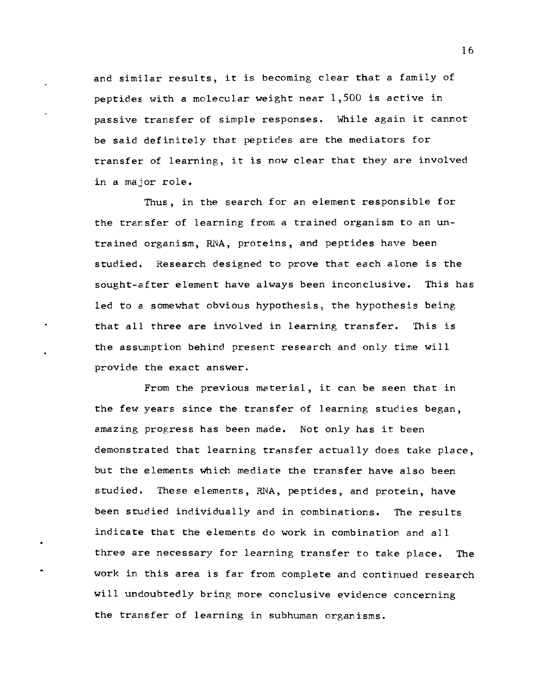and similar results, it is becoming clear that a family of peptides. with a molecular weight near 1,500 is active in passive transfer of simple responses. While again it cannot be said definitely that peptides are the mediators for transfer of learning, it is now clear that they are involved in a major role.

Thus, in the search for an element responsible for the transfer of learning from a trained organism to an untrained organism, RNA, proteins, and peptides have been studied. Research designed to prove that each alone is the sought-after element have always been inconclusive. This has led to a somewhat obvious hypothesis, the hypothesis being that all three are involved in learning transfer. This is the assumption behind present research and only time will provide the exact answer.

From the previous material, it can be seen that in the few years since the transfer of learning studies began, amazing progress has been made. Not only has it been demonstrated that learning transfer actually does take place, but the elements which mediate the transfer have also been studied. These elements, RNA, peptides, and protein, have been studied individually and in combinations. The results indicate that the elements do work in combination and all three are necessary for learning transfer to take place. The work in this area is far from complete and continued research will undoubtedly bring more conclusive evidence concerning the transfer of learning in subhuman organisms.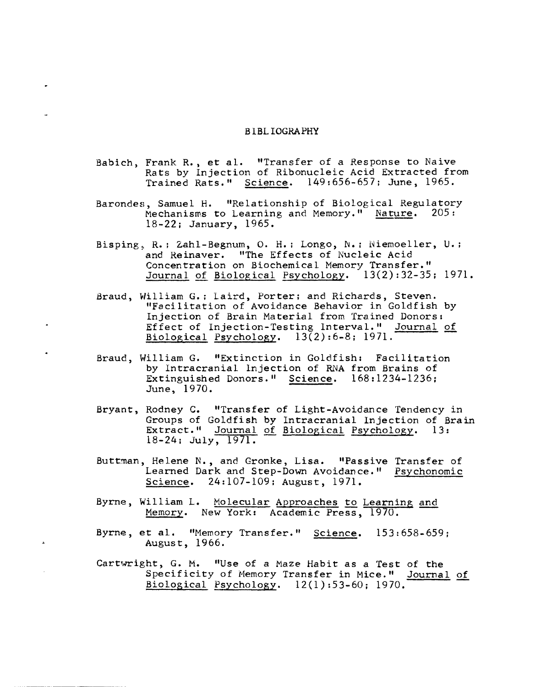## BiBLIOGRAPHY

- Babich, Frank R., et a1. "Transfer of a Response to Naive Rats by Injection of Ribonucleic Acid Extracted from Trained Rats." Science. 149:656-657; June, 1965.
- Barondes, Samuel H. "Relationship of Biological Regulatory Mechanisms to Learning and Memory." Nature.  $205:$ 18-22; January, 1965.
- Bisping, R.; Zahl-Begnum, O. H.; Longo, N.; Niemoeller, U.; and Reinaver. "The Effects of Nucleic Acid Concentration on Biochemical Memory Transfer." Journal of Biological Psychology. 13(2):32-35; 1971.
- Braud, William G.; laird, Porter; and Richards, Steven. "Facilitation of Avoidance Behavior in Goldfish by Injection of Brain Material from Trained Donors: Effect of Injection-Testing Interval." Journal of Biological Psychology.  $13(2):6-8$ ; 1971.
- Braud, William G. "Extinction in Goldfish: Facilitation by Intracranial Injection of RNA from Brains of Extinguished Donors." Science. 168:1234-1236; June, 1970.
- Bryant, Rodney C. "Transfer of Light-Avoidance Tendency in Groups of Goldfish by Intracranial Injection of Brain Extract." Journal of Biological Psychology. 13:  $18-24$ ; July,  $1971$ .
- Buttman, Helene N., and Gronke, Lisa. "Passive Transfer of Learned Dark and Step-Down Avoidance." Psychonomic Science. 24:107-109; August, 1971.
- Byrne, William L. Molecular Approaches to Learning and Memory. New York: Academic Press, 1970.
- Byrne, et al. "Memory Transfer." Science. 153:658-659; August, 1966.
- Cartwright, G. M. "Use of a Maze Habit as a Test of the Specificity of Memory Transfer in Mice." Journal of Biological Psychology. 12(1) :53-60; 1970.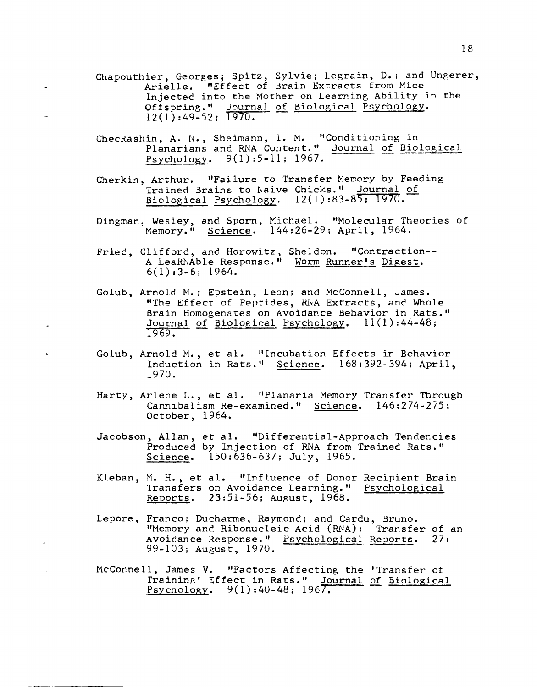- Chapouthier, Georges; Spitz, Sylvie; Legrain, D.: and Ungerer, Arielle. "Effect of Brain Extracts from Mice Injected into the Mother on Learning Ability in the Offspring." Journal of Biological Psychology. 12(1):49-52; 1970.
- ChecRashin, A. N., Sheimann, 1. M. "Conditioning in Planarians and RNA Content." Journal of Biological Psychology. 9(1):5-11; 1967.
- Cherkin, Arthur. "Failure to Transfer Memory by Feeding Trained Brains to Naive Chicks." Journal of Biological Psychology. 12(1) :83-85: 1970.-
- Dingman, Wesley, and Sporn, Michael. "Molecular Theories of Memory." Science. 144:26-29: April, 1964.
- Fried, Clifford, and Horowitz, Sheldon. "Contraction-- A LeaRNAble Response." Worm Runner's Digest. 6(1) :3-6: 1964.
- Golub, Arnold M.; Epstein, Leon; and McConnell, James. "The Effect of Peptides, RNA Extracts, and Whole Brain Homogenates on Avoidance Behavior in Rats." Journal of Biological Psychology.  $11(1):44-48;$ 1969.
- Golub, Arnold M., et a1. "Incubation Effects in Behavior Induction in Rats." Science. 168:392-394; April, 1970.
- Harty, Arlene L., et a1. "Planaria Memory Transfer Through Cannibalism Re-examined." Science. 146:274-275; October, 1964.
- Jacobson, Allan, et al. "Differential-Approach Tendencies Produced by Injection of RNA from Trained Rats." Science. 150:636-637; July, 1965.
- Kleban, M. H., et al. "Influence of Donor Recipient Brain Transfers on Avoidance Learning." Psychological Reports. 23:51-56; August, 1968.
- Lepore, Franco: Ducharme, Raymond: and Cardu, Bruno. "Memory and Ribonucleic Acid (RNA): Transfer of an Avoidance Response." Psychological Reports. 27: 99-103; August, 1970.
- McConnell, James V. "Factors Affecting the 'Transfer of Training' Effect in Rats." Journal of Biological fsychology. 9(1):40-48; 1967.